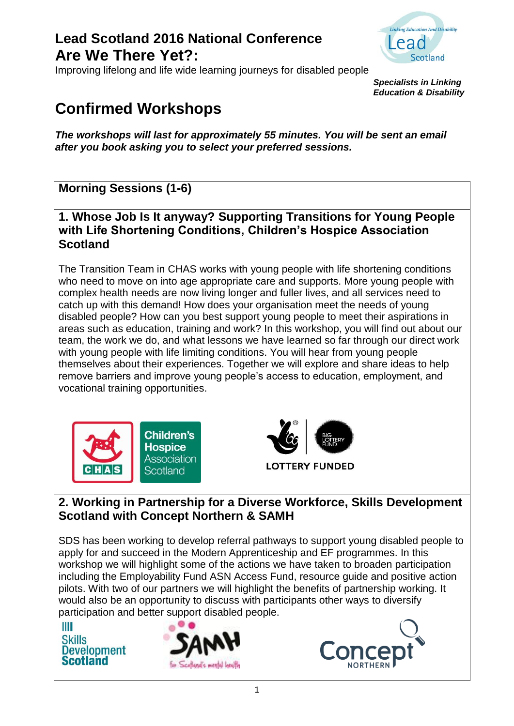

Improving lifelong and life wide learning journeys for disabled people

*Specialists in Linking Education & Disability*

# **Confirmed Workshops**

*The workshops will last for approximately 55 minutes. You will be sent an email after you book asking you to select your preferred sessions.*

### **Morning Sessions (1-6)**

**1. Whose Job Is It anyway? Supporting Transitions for Young People with Life Shortening Conditions, Children's Hospice Association Scotland**

The Transition Team in CHAS works with young people with life shortening conditions who need to move on into age appropriate care and supports. More young people with complex health needs are now living longer and fuller lives, and all services need to catch up with this demand! How does your organisation meet the needs of young disabled people? How can you best support young people to meet their aspirations in areas such as education, training and work? In this workshop, you will find out about our team, the work we do, and what lessons we have learned so far through our direct work with young people with life limiting conditions. You will hear from young people themselves about their experiences. Together we will explore and share ideas to help remove barriers and improve young people's access to education, employment, and vocational training opportunities.





#### **2. Working in Partnership for a Diverse Workforce, Skills Development Scotland with Concept Northern & SAMH**

SDS has been working to develop referral pathways to support young disabled people to apply for and succeed in the Modern Apprenticeship and EF programmes. In this workshop we will highlight some of the actions we have taken to broaden participation including the Employability Fund ASN Access Fund, resource guide and positive action pilots. With two of our partners we will highlight the benefits of partnership working. It would also be an opportunity to discuss with participants other ways to diversify participation and better support disabled people.

Ш **Skills Development Scotland** 



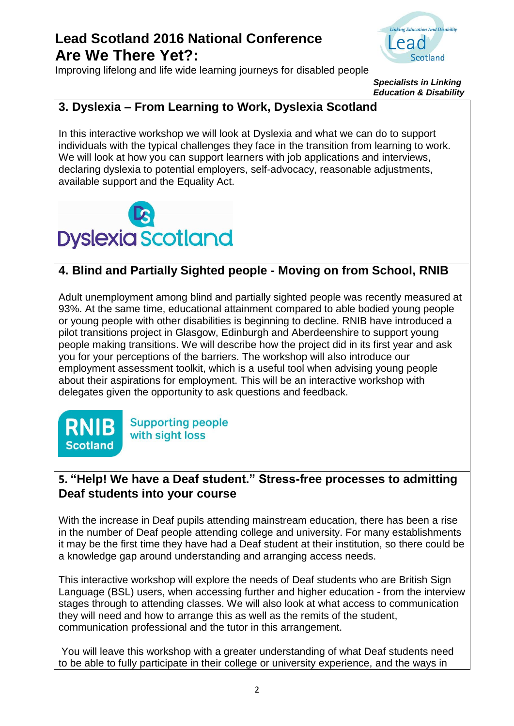Improving lifelong and life wide learning journeys for disabled people



*Specialists in Linking Education & Disability*

### **3. Dyslexia – From Learning to Work, Dyslexia Scotland**

In this interactive workshop we will look at Dyslexia and what we can do to support individuals with the typical challenges they face in the transition from learning to work. We will look at how you can support learners with job applications and interviews, declaring dyslexia to potential employers, self-advocacy, reasonable adjustments, available support and the Equality Act.



### **4. Blind and Partially Sighted people - Moving on from School, RNIB**

Adult unemployment among blind and partially sighted people was recently measured at 93%. At the same time, educational attainment compared to able bodied young people or young people with other disabilities is beginning to decline. RNIB have introduced a pilot transitions project in Glasgow, Edinburgh and Aberdeenshire to support young people making transitions. We will describe how the project did in its first year and ask you for your perceptions of the barriers. The workshop will also introduce our employment assessment toolkit, which is a useful tool when advising young people about their aspirations for employment. This will be an interactive workshop with delegates given the opportunity to ask questions and feedback.



**Supporting people** with sight loss

#### **5. "Help! We have a Deaf student." Stress-free processes to admitting Deaf students into your course**

With the increase in Deaf pupils attending mainstream education, there has been a rise in the number of Deaf people attending college and university. For many establishments it may be the first time they have had a Deaf student at their institution, so there could be a knowledge gap around understanding and arranging access needs.

This interactive workshop will explore the needs of Deaf students who are British Sign Language (BSL) users, when accessing further and higher education - from the interview stages through to attending classes. We will also look at what access to communication they will need and how to arrange this as well as the remits of the student, communication professional and the tutor in this arrangement.

You will leave this workshop with a greater understanding of what Deaf students need to be able to fully participate in their college or university experience, and the ways in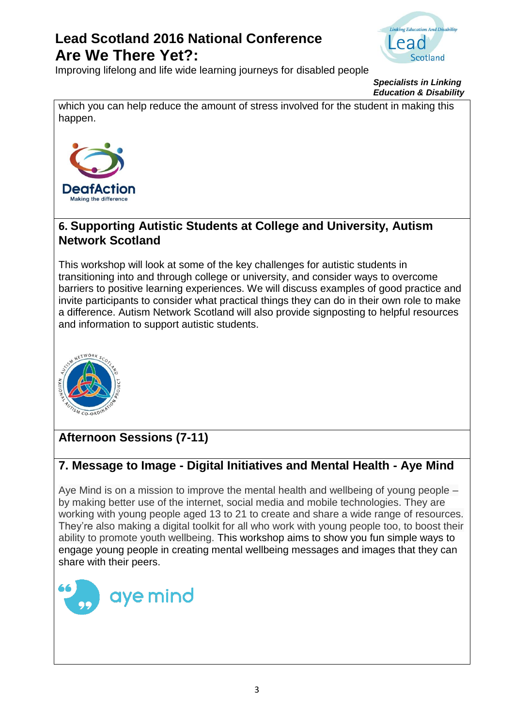

Improving lifelong and life wide learning journeys for disabled people



which you can help reduce the amount of stress involved for the student in making this happen.



#### **6. Supporting Autistic Students at College and University, Autism Network Scotland**

This workshop will look at some of the key challenges for autistic students in transitioning into and through college or university, and consider ways to overcome barriers to positive learning experiences. We will discuss examples of good practice and invite participants to consider what practical things they can do in their own role to make a difference. Autism Network Scotland will also provide signposting to helpful resources and information to support autistic students.



### **Afternoon Sessions (7-11)**

#### **7. Message to Image - Digital Initiatives and Mental Health - Aye Mind**

Aye Mind is on a mission to improve the mental health and wellbeing of young people – by making better use of the internet, social media and mobile technologies. They are working with young people aged 13 to 21 to create and share a wide range of resources. They're also making a digital toolkit for all who work with young people too, to boost their ability to promote youth wellbeing. This workshop aims to show you fun simple ways to engage young people in creating mental wellbeing messages and images that they can share with their peers.

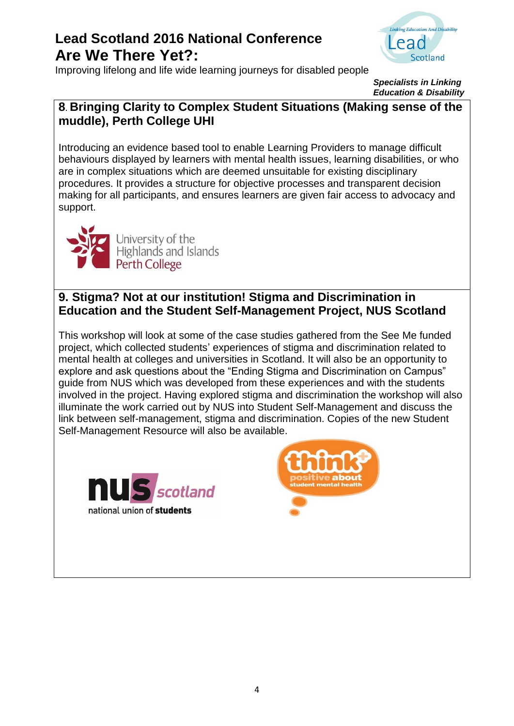



*Specialists in Linking Education & Disability*

#### **8**. **Bringing Clarity to Complex Student Situations (Making sense of the muddle), Perth College UHI**

Introducing an evidence based tool to enable Learning Providers to manage difficult behaviours displayed by learners with mental health issues, learning disabilities, or who are in complex situations which are deemed unsuitable for existing disciplinary procedures. It provides a structure for objective processes and transparent decision making for all participants, and ensures learners are given fair access to advocacy and support.



#### **9. Stigma? Not at our institution! Stigma and Discrimination in Education and the Student Self-Management Project, NUS Scotland**

This workshop will look at some of the case studies gathered from the See Me funded project, which collected students' experiences of stigma and discrimination related to mental health at colleges and universities in Scotland. It will also be an opportunity to explore and ask questions about the "Ending Stigma and Discrimination on Campus" guide from NUS which was developed from these experiences and with the students involved in the project. Having explored stigma and discrimination the workshop will also illuminate the work carried out by NUS into Student Self-Management and discuss the link between self-management, stigma and discrimination. Copies of the new Student Self-Management Resource will also be available.